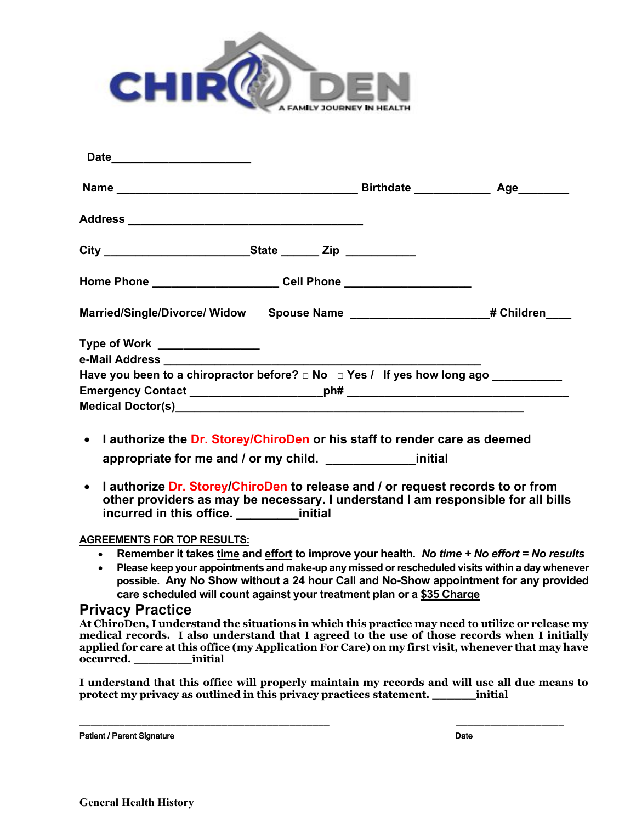

| Date__________________________                                                                                                                                                                                  |  |
|-----------------------------------------------------------------------------------------------------------------------------------------------------------------------------------------------------------------|--|
|                                                                                                                                                                                                                 |  |
|                                                                                                                                                                                                                 |  |
|                                                                                                                                                                                                                 |  |
| Home Phone ______________________________Cell Phone ____________________________                                                                                                                                |  |
| Married/Single/Divorce/ Widow Spouse Name ______________________# Children____                                                                                                                                  |  |
| Type of Work ________________                                                                                                                                                                                   |  |
|                                                                                                                                                                                                                 |  |
|                                                                                                                                                                                                                 |  |
|                                                                                                                                                                                                                 |  |
|                                                                                                                                                                                                                 |  |
| • I authorize the Dr. Storey/ChiroDen or his staff to render care as deemed                                                                                                                                     |  |
| appropriate for me and / or my child. _________________initial                                                                                                                                                  |  |
| • I authorize Dr. Storey/ChiroDen to release and / or request records to or from<br>other providers as may be necessary. I understand I am responsible for all bills<br>incurred in this office. _______initial |  |
| <b>AGREEMENTS FOR TOP RESULTS:</b>                                                                                                                                                                              |  |

### **Remember it takes time and effort to improve your health.** *No time + No effort = No results*

 **Please keep your appointments and make-up any missed or rescheduled visits within a day whenever possible. Any No Show without a 24 hour Call and No-Show appointment for any provided care scheduled will count against your treatment plan or a \$35 Charge**

### **Privacy Practice**

**At ChiroDen, I understand the situations in which this practice may need to utilize or release my medical records. I also understand that I agreed to the use of those records when I initially applied for care at this office (my Application For Care) on my first visit, whenever that may have occurred. \_\_\_\_\_\_\_\_initial**

**I understand that this office will properly maintain my records and will use all due means to protect my privacy as outlined in this privacy practices statement. \_\_\_\_\_\_initial**

\_\_\_\_\_\_\_\_\_\_\_\_\_\_\_\_\_\_\_\_\_\_\_\_\_\_\_\_\_\_\_\_\_\_\_\_\_\_\_\_\_\_\_\_ \_\_\_\_\_\_\_\_\_\_\_\_\_\_\_\_\_\_\_

Patient / Parent SignatureDate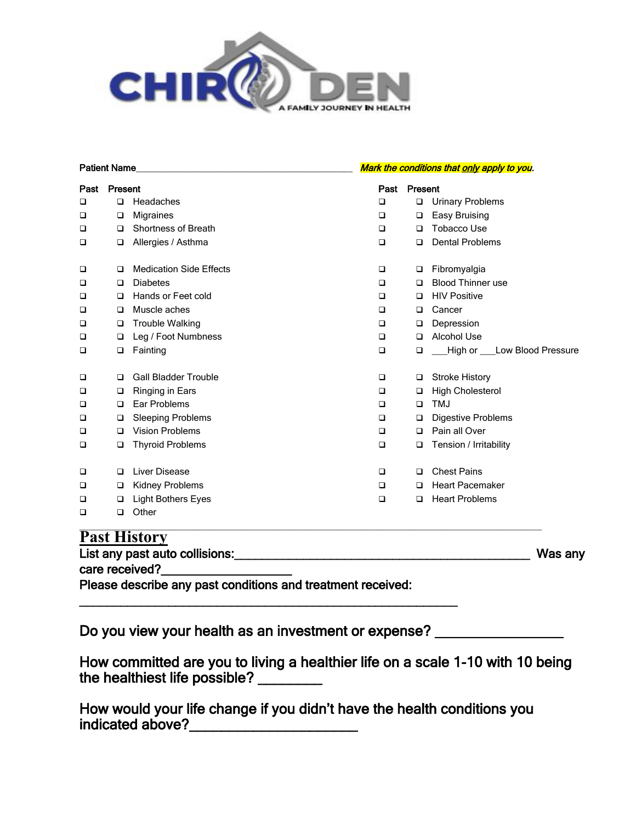

| <b>Patient Name</b> |         |                                | Mark the conditions that only apply to you. |         |                            |
|---------------------|---------|--------------------------------|---------------------------------------------|---------|----------------------------|
| Past                | Present |                                | Past                                        | Present |                            |
| ❏                   | $\Box$  | Headaches                      | $\Box$                                      | $\Box$  | <b>Urinary Problems</b>    |
| ❏                   | $\Box$  | Migraines                      | $\Box$                                      | □       | Easy Bruising              |
| □                   | □       | <b>Shortness of Breath</b>     | □                                           | $\Box$  | <b>Tobacco Use</b>         |
| ❏                   | $\Box$  | Allergies / Asthma             | $\Box$                                      | □       | <b>Dental Problems</b>     |
| ❏                   | □       | <b>Medication Side Effects</b> | $\Box$                                      | □       | Fibromyalgia               |
| □                   | $\Box$  | <b>Diabetes</b>                | □                                           | □       | <b>Blood Thinner use</b>   |
| ❏                   | $\Box$  | Hands or Feet cold             | $\Box$                                      | □       | <b>HIV Positive</b>        |
| □                   | $\Box$  | Muscle aches                   | $\Box$                                      | $\Box$  | Cancer                     |
| $\Box$              | $\Box$  | <b>Trouble Walking</b>         | □                                           | $\Box$  | Depression                 |
| $\Box$              | $\Box$  | Leg / Foot Numbness            | $\Box$                                      | □       | <b>Alcohol Use</b>         |
| □                   | $\Box$  | Fainting                       | $\Box$                                      | □       | High or Low Blood Pressure |
| $\Box$              | □       | <b>Gall Bladder Trouble</b>    | $\Box$                                      | $\Box$  | <b>Stroke History</b>      |
| $\Box$              | $\Box$  | Ringing in Ears                | □                                           | □       | <b>High Cholesterol</b>    |
| $\Box$              | □       | Ear Problems                   | $\Box$                                      | □       | <b>TMJ</b>                 |
| $\Box$              | $\Box$  | <b>Sleeping Problems</b>       | $\Box$                                      | $\Box$  | <b>Digestive Problems</b>  |
| □                   | □       | <b>Vision Problems</b>         | $\Box$                                      | $\Box$  | Pain all Over              |
| $\Box$              | $\Box$  | <b>Thyroid Problems</b>        | □                                           | □       | Tension / Irritability     |
| $\Box$              | □       | Liver Disease                  | $\Box$                                      | $\Box$  | <b>Chest Pains</b>         |
| □                   | $\Box$  | <b>Kidney Problems</b>         | $\Box$                                      | □       | <b>Heart Pacemaker</b>     |
| □                   | □       | Light Bothers Eyes             | $\Box$                                      | $\Box$  | <b>Heart Problems</b>      |
| ❏                   | $\Box$  | Other                          |                                             |         |                            |

## **Past History**

| List any past auto collisions: |  |  |
|--------------------------------|--|--|
|                                |  |  |

care received?

Please describe any past conditions and treatment received:

Do you view your health as an investment or expense? \_\_\_\_\_\_\_\_\_\_\_\_\_\_\_\_\_\_\_\_\_\_\_\_\_\_\_

\_\_\_\_\_\_\_\_\_\_\_\_\_\_\_\_\_\_\_\_\_\_\_\_\_\_\_\_\_\_\_\_\_\_\_\_\_\_\_\_\_\_\_\_\_\_\_\_\_\_\_\_\_\_\_

How committed are you to living a healthier life on a scale 1-10 with 10 being the healthiest life possible? \_\_\_\_\_\_\_\_

List any past auto collisions:\_\_\_\_\_\_\_\_\_\_\_\_\_\_\_\_\_\_\_\_\_\_\_\_\_\_\_\_\_\_\_\_\_\_\_\_\_\_\_\_\_\_\_ Was any

How would your life change if you didn't have the health conditions you indicated above?\_\_\_\_\_\_\_\_\_\_\_\_\_\_\_\_\_\_\_\_\_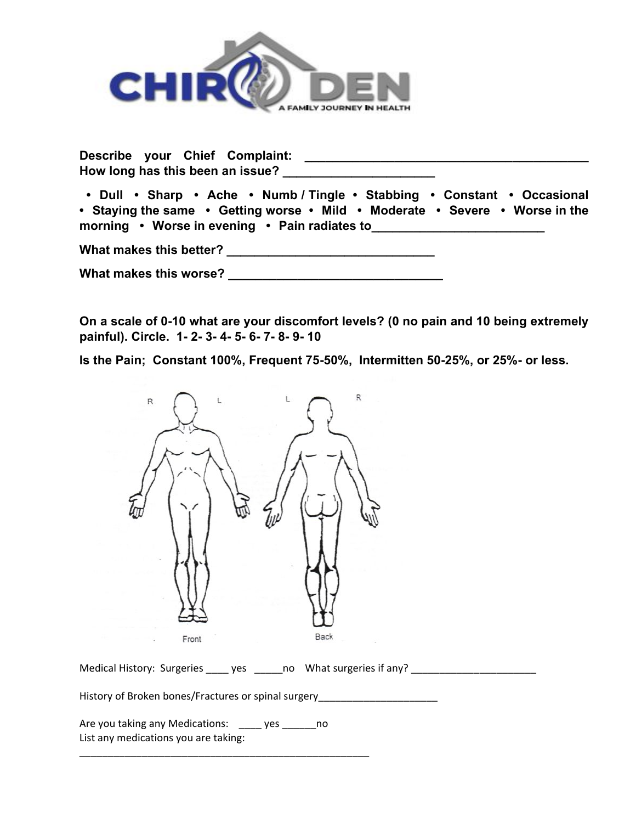

**Describe your Chief Complaint: Describe your Chief Complaint: How long has this been an issue? \_\_\_\_\_\_\_\_\_\_\_\_\_\_\_\_\_\_\_\_\_\_**

 **• Dull • Sharp • Ache • Numb / Tingle • Stabbing • Constant • Occasional • Staying the same • Getting worse • Mild • Moderate • Severe • Worse in the morning •** Worse in evening • Pain radiates to

**What makes this better? \_\_\_\_\_\_\_\_\_\_\_\_\_\_\_\_\_\_\_\_\_\_\_\_\_\_\_\_\_\_**

What makes this worse? **What makes** this worse?

**On a scale of 0-10 what are your discomfort levels? (0 no pain and 10 being extremely painful). Circle. 1- 2- 3- 4- 5- 6- 7- 8- 9- 10**

**Is the Pain; Constant 100%, Frequent 75-50%, Intermitten 50-25%, or 25%- or less.** 



Medical History: Surgeries \_\_\_\_\_ yes \_\_\_\_\_\_ no What surgeries if any? \_\_\_\_\_\_\_\_\_\_

History of Broken bones/Fractures or spinal surgery\_\_\_\_\_\_\_\_\_\_\_\_\_\_\_\_\_\_\_\_\_\_\_\_\_\_\_\_\_

Are you taking any Medications: \_\_\_\_ yes \_\_\_\_\_\_no List any medications you are taking:

\_\_\_\_\_\_\_\_\_\_\_\_\_\_\_\_\_\_\_\_\_\_\_\_\_\_\_\_\_\_\_\_\_\_\_\_\_\_\_\_\_\_\_\_\_\_\_\_\_\_\_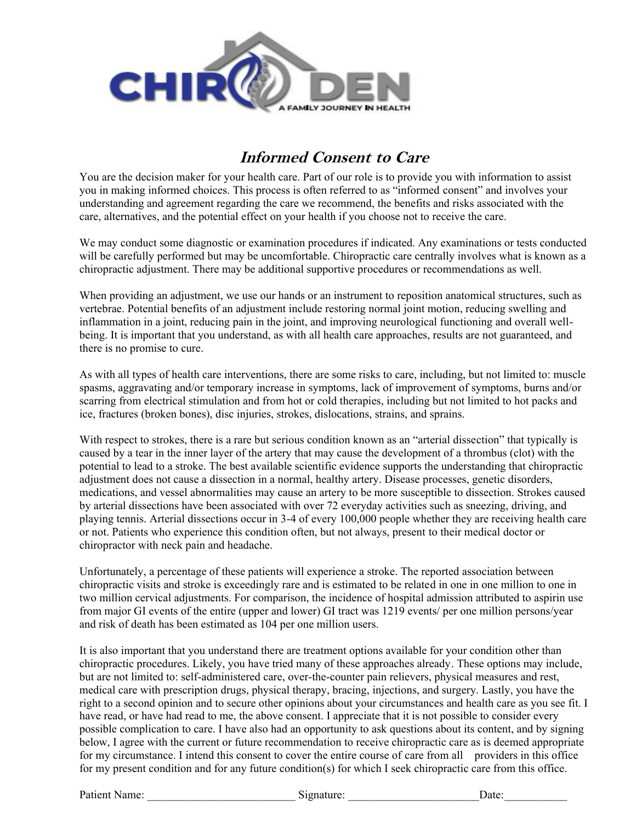

# **Informed Consent to Care**

You are the decision maker for your health care. Part of our role is to provide you with information to assist you in making informed choices. This process is often referred to as "informed consent" and involves your understanding and agreement regarding the care we recommend, the benefits and risks associated with the care, alternatives, and the potential effect on your health if you choose not to receive the care.

We may conduct some diagnostic or examination procedures if indicated. Any examinations or tests conducted will be carefully performed but may be uncomfortable. Chiropractic care centrally involves what is known as a chiropractic adjustment. There may be additional supportive procedures or recommendations as well.

When providing an adjustment, we use our hands or an instrument to reposition anatomical structures, such as vertebrae. Potential benefits of an adjustment include restoring normal joint motion, reducing swelling and inflammation in a joint, reducing pain in the joint, and improving neurological functioning and overall wellbeing. It is important that you understand, as with all health care approaches, results are not guaranteed, and there is no promise to cure.

As with all types of health care interventions, there are some risks to care, including, but not limited to: muscle spasms, aggravating and/or temporary increase in symptoms, lack of improvement of symptoms, burns and/or scarring from electrical stimulation and from hot or cold therapies, including but not limited to hot packs and ice, fractures (broken bones), disc injuries, strokes, dislocations, strains, and sprains.

With respect to strokes, there is a rare but serious condition known as an "arterial dissection" that typically is caused by a tear in the inner layer of the artery that may cause the development of a thrombus (clot) with the potential to lead to a stroke. The best available scientific evidence supports the understanding that chiropractic adjustment does not cause a dissection in a normal, healthy artery. Disease processes, genetic disorders, medications, and vessel abnormalities may cause an artery to be more susceptible to dissection. Strokes caused by arterial dissections have been associated with over 72 everyday activities such as sneezing, driving, and playing tennis. Arterial dissections occur in 3-4 of every 100,000 people whether they are receiving health care or not. Patients who experience this condition often, but not always, present to their medical doctor or chiropractor with neck pain and headache.

Unfortunately, a percentage of these patients will experience a stroke. The reported association between chiropractic visits and stroke is exceedingly rare and is estimated to be related in one in one million to one in two million cervical adjustments. For comparison, the incidence of hospital admission attributed to aspirin use from major GI events of the entire (upper and lower) GI tract was 1219 events/ per one million persons/year and risk of death has been estimated as 104 per one million users.

It is also important that you understand there are treatment options available for your condition other than chiropractic procedures. Likely, you have tried many of these approaches already. These options may include, but are not limited to: self-administered care, over-the-counter pain relievers, physical measures and rest, medical care with prescription drugs, physical therapy, bracing, injections, and surgery. Lastly, you have the right to a second opinion and to secure other opinions about your circumstances and health care as you see fit. I have read, or have had read to me, the above consent. I appreciate that it is not possible to consider every possible complication to care. I have also had an opportunity to ask questions about its content, and by signing below, I agree with the current or future recommendation to receive chiropractic care as is deemed appropriate for my circumstance. I intend this consent to cover the entire course of care from all providers in this office for my present condition and for any future condition(s) for which I seek chiropractic care from this office.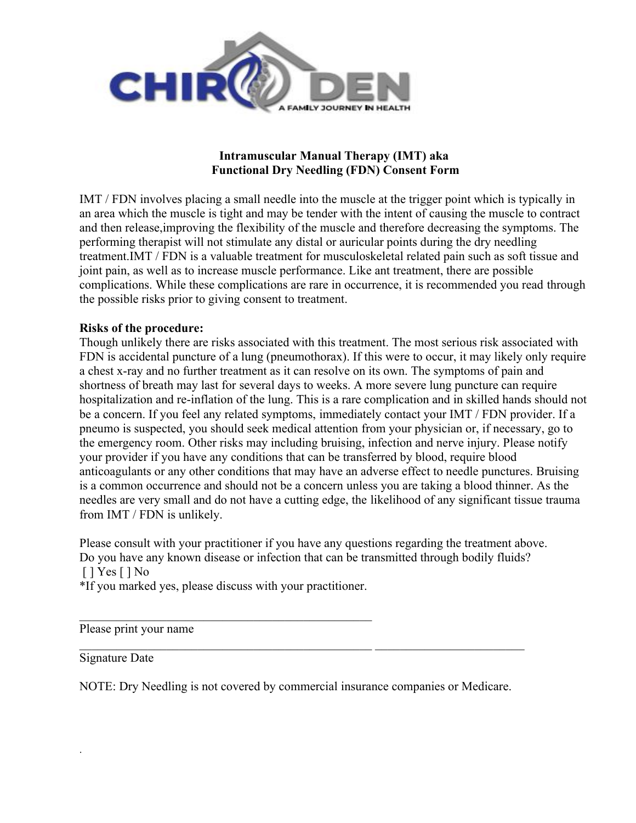

### **Intramuscular Manual Therapy (IMT) aka Functional Dry Needling (FDN) Consent Form**

IMT / FDN involves placing a small needle into the muscle at the trigger point which is typically in an area which the muscle is tight and may be tender with the intent of causing the muscle to contract and then release,improving the flexibility of the muscle and therefore decreasing the symptoms. The performing therapist will not stimulate any distal or auricular points during the dry needling treatment.IMT / FDN is a valuable treatment for musculoskeletal related pain such as soft tissue and joint pain, as well as to increase muscle performance. Like ant treatment, there are possible complications. While these complications are rare in occurrence, it is recommended you read through the possible risks prior to giving consent to treatment.

### **Risks of the procedure:**

Though unlikely there are risks associated with this treatment. The most serious risk associated with FDN is accidental puncture of a lung (pneumothorax). If this were to occur, it may likely only require a chest x-ray and no further treatment as it can resolve on its own. The symptoms of pain and shortness of breath may last for several days to weeks. A more severe lung puncture can require hospitalization and re-inflation of the lung. This is a rare complication and in skilled hands should not be a concern. If you feel any related symptoms, immediately contact your IMT / FDN provider. If a pneumo is suspected, you should seek medical attention from your physician or, if necessary, go to the emergency room. Other risks may including bruising, infection and nerve injury. Please notify your provider if you have any conditions that can be transferred by blood, require blood anticoagulants or any other conditions that may have an adverse effect to needle punctures. Bruising is a common occurrence and should not be a concern unless you are taking a blood thinner. As the needles are very small and do not have a cutting edge, the likelihood of any significant tissue trauma from IMT / FDN is unlikely.

Please consult with your practitioner if you have any questions regarding the treatment above. Do you have any known disease or infection that can be transmitted through bodily fluids? [ ] Yes [ ] No

\*If you marked yes, please discuss with your practitioner.

Please print your name

Signature Date

.

NOTE: Dry Needling is not covered by commercial insurance companies or Medicare.